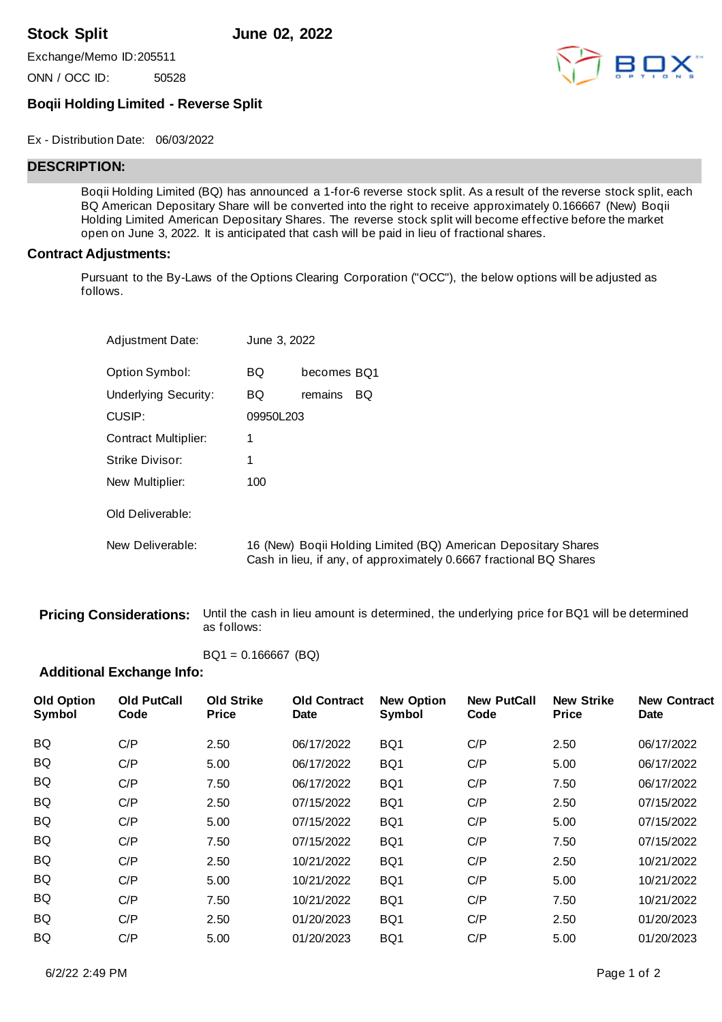**Stock Split June 02, 2022**

Exchange/Memo ID:205511

ONN / OCC ID: 50528



## **Boqii Holding Limited - Reverse Split**

Ex - Distribution Date: 06/03/2022

# **DESCRIPTION:**

Boqii Holding Limited (BQ) has announced a 1-for-6 reverse stock split. As a result of the reverse stock split, each BQ American Depositary Share will be converted into the right to receive approximately 0.166667 (New) Boqii Holding Limited American Depositary Shares. The reverse stock split will become effective before the market open on June 3, 2022. It is anticipated that cash will be paid in lieu of fractional shares.

## **Contract Adjustments:**

Pursuant to the By-Laws of the Options Clearing Corporation ("OCC"), the below options will be adjusted as follows.

| <b>Adjustment Date:</b> | June 3, 2022 |             |                                                                                                                                      |
|-------------------------|--------------|-------------|--------------------------------------------------------------------------------------------------------------------------------------|
| Option Symbol:          | <b>BQ</b>    | becomes BQ1 |                                                                                                                                      |
| Underlying Security:    | <b>BQ</b>    | remains     | BQ.                                                                                                                                  |
| CUSIP:                  | 09950L203    |             |                                                                                                                                      |
| Contract Multiplier:    |              |             |                                                                                                                                      |
| Strike Divisor:         |              |             |                                                                                                                                      |
| New Multiplier:         | 100          |             |                                                                                                                                      |
| Old Deliverable:        |              |             |                                                                                                                                      |
| New Deliverable:        |              |             | 16 (New) Boqii Holding Limited (BQ) American Depositary Shares<br>Cash in lieu, if any, of approximately 0.6667 fractional BQ Shares |

**Pricing Considerations:** Until the cash in lieu amount is determined, the underlying price for BQ1 will be determined as follows:

 $BQ1 = 0.166667$  (BQ)

## **Additional Exchange Info:**

| <b>Old PutCall</b><br>Code | <b>Old Strike</b><br><b>Price</b> | <b>Old Contract</b><br><b>Date</b> | <b>New Option</b><br>Symbol | <b>New PutCall</b><br>Code | <b>New Strike</b><br><b>Price</b> | <b>New Contract</b><br><b>Date</b> |
|----------------------------|-----------------------------------|------------------------------------|-----------------------------|----------------------------|-----------------------------------|------------------------------------|
| C/P                        | 2.50                              | 06/17/2022                         | BQ1                         | C/P                        | 2.50                              | 06/17/2022                         |
| C/P                        | 5.00                              | 06/17/2022                         | BQ1                         | C/P                        | 5.00                              | 06/17/2022                         |
| C/P                        | 7.50                              | 06/17/2022                         | BQ1                         | C/P                        | 7.50                              | 06/17/2022                         |
| C/P                        | 2.50                              | 07/15/2022                         | BQ1                         | C/P                        | 2.50                              | 07/15/2022                         |
| C/P                        | 5.00                              | 07/15/2022                         | BQ1                         | C/P                        | 5.00                              | 07/15/2022                         |
| C/P                        | 7.50                              | 07/15/2022                         | BQ1                         | C/P                        | 7.50                              | 07/15/2022                         |
| C/P                        | 2.50                              | 10/21/2022                         | BQ1                         | C/P                        | 2.50                              | 10/21/2022                         |
| C/P                        | 5.00                              | 10/21/2022                         | BQ1                         | C/P                        | 5.00                              | 10/21/2022                         |
| C/P                        | 7.50                              | 10/21/2022                         | BQ1                         | C/P                        | 7.50                              | 10/21/2022                         |
| C/P                        | 2.50                              | 01/20/2023                         | BQ1                         | C/P                        | 2.50                              | 01/20/2023                         |
| C/P                        | 5.00                              | 01/20/2023                         | BQ1                         | C/P                        | 5.00                              | 01/20/2023                         |
|                            |                                   |                                    |                             |                            |                                   |                                    |